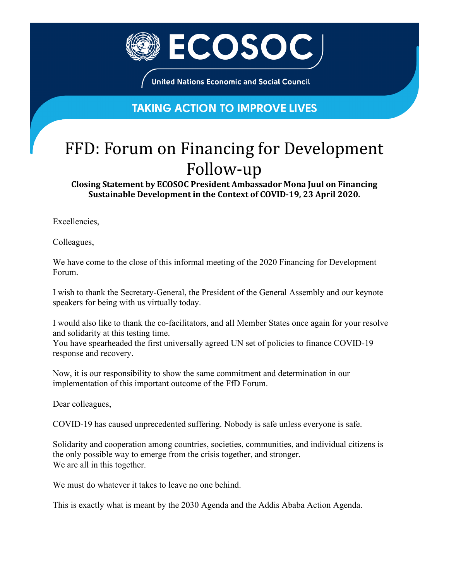

**United Nations Economic and Social Council** 

## **TAKING ACTION TO IMPROVE LIVES**

## FFD: Forum on Financing for Development Follow-up

**Closing Statement by ECOSOC President Ambassador Mona Juul on Financing Sustainable Development in the Context of COVID-19, 23 April 2020.**

Excellencies,

Colleagues,

We have come to the close of this informal meeting of the 2020 Financing for Development Forum.

I wish to thank the Secretary-General, the President of the General Assembly and our keynote speakers for being with us virtually today.

I would also like to thank the co-facilitators, and all Member States once again for your resolve and solidarity at this testing time.

You have spearheaded the first universally agreed UN set of policies to finance COVID-19 response and recovery.

Now, it is our responsibility to show the same commitment and determination in our implementation of this important outcome of the FfD Forum.

Dear colleagues,

COVID-19 has caused unprecedented suffering. Nobody is safe unless everyone is safe.

Solidarity and cooperation among countries, societies, communities, and individual citizens is the only possible way to emerge from the crisis together, and stronger. We are all in this together.

We must do whatever it takes to leave no one behind.

This is exactly what is meant by the 2030 Agenda and the Addis Ababa Action Agenda.